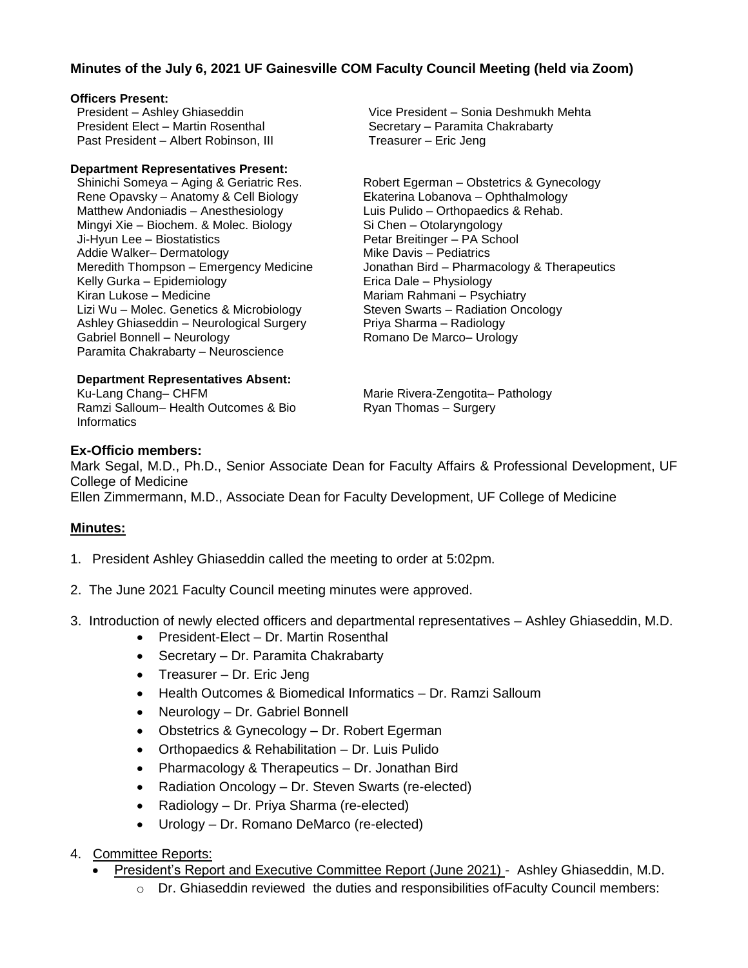## **Minutes of the July 6, 2021 UF Gainesville COM Faculty Council Meeting (held via Zoom)**

### **Officers Present:**

President – Ashley Ghiaseddin President Elect – Martin Rosenthal Past President – Albert Robinson, III

#### **Department Representatives Present:**

Shinichi Someya – Aging & Geriatric Res. Rene Opavsky – Anatomy & Cell Biology Matthew Andoniadis – Anesthesiology Mingyi Xie – Biochem. & Molec. Biology Ji-Hyun Lee – Biostatistics Addie Walker– Dermatology Meredith Thompson – Emergency Medicine Kelly Gurka – Epidemiology Kiran Lukose – Medicine Lizi Wu – Molec. Genetics & Microbiology Ashley Ghiaseddin – Neurological Surgery Gabriel Bonnell – Neurology Paramita Chakrabarty – Neuroscience

Vice President – Sonia Deshmukh Mehta Secretary – Paramita Chakrabarty Treasurer – Eric Jeng

Robert Egerman – Obstetrics & Gynecology Ekaterina Lobanova – Ophthalmology Luis Pulido – Orthopaedics & Rehab. Si Chen – Otolaryngology Petar Breitinger – PA School Mike Davis – Pediatrics Jonathan Bird – Pharmacology & Therapeutics Erica Dale – Physiology Mariam Rahmani – Psychiatry Steven Swarts – Radiation Oncology Priya Sharma – Radiology Romano De Marco– Urology

**Department Representatives Absent:**

Ku-Lang Chang– CHFM Ramzi Salloum– Health Outcomes & Bio **Informatics** 

Marie Rivera-Zengotita– Pathology Ryan Thomas – Surgery

### **Ex-Officio members:**

Mark Segal, M.D., Ph.D., Senior Associate Dean for Faculty Affairs & Professional Development, UF College of Medicine

Ellen Zimmermann, M.D., Associate Dean for Faculty Development, UF College of Medicine

## **Minutes:**

- 1. President Ashley Ghiaseddin called the meeting to order at 5:02pm.
- 2. The June 2021 Faculty Council meeting minutes were approved.
- 3. Introduction of newly elected officers and departmental representatives Ashley Ghiaseddin, M.D.
	- President-Elect Dr. Martin Rosenthal
	- Secretary Dr. Paramita Chakrabarty
	- Treasurer Dr. Eric Jeng
	- Health Outcomes & Biomedical Informatics Dr. Ramzi Salloum
	- Neurology Dr. Gabriel Bonnell
	- Obstetrics & Gynecology Dr. Robert Egerman
	- Orthopaedics & Rehabilitation Dr. Luis Pulido
	- Pharmacology & Therapeutics Dr. Jonathan Bird
	- Radiation Oncology Dr. Steven Swarts (re-elected)
	- Radiology Dr. Priya Sharma (re-elected)
	- Urology Dr. Romano DeMarco (re-elected)
- 4. Committee Reports:
	- President's Report and Executive Committee Report (June 2021) Ashley Ghiaseddin, M.D.
		- $\circ$  Dr. Ghiaseddin reviewed the duties and responsibilities of Faculty Council members: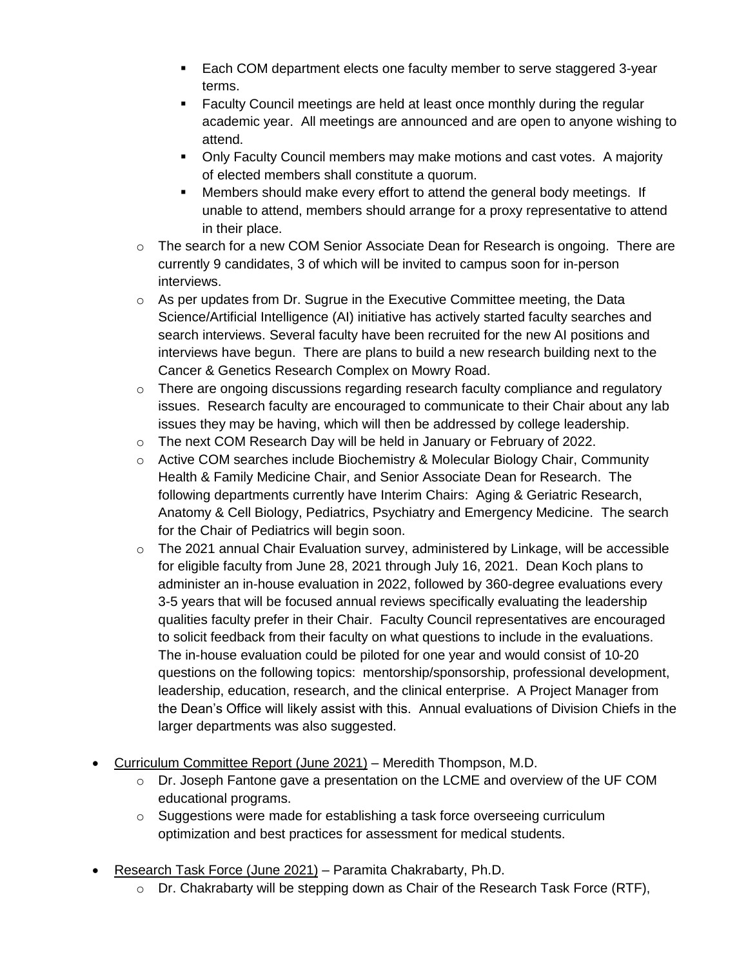- Each COM department elects one faculty member to serve staggered 3-year terms.
- **EXECULTE:** Faculty Council meetings are held at least once monthly during the regular academic year. All meetings are announced and are open to anyone wishing to attend.
- Only Faculty Council members may make motions and cast votes. A majority of elected members shall constitute a quorum.
- Members should make every effort to attend the general body meetings. If unable to attend, members should arrange for a proxy representative to attend in their place.
- $\circ$  The search for a new COM Senior Associate Dean for Research is ongoing. There are currently 9 candidates, 3 of which will be invited to campus soon for in-person interviews.
- $\circ$  As per updates from Dr. Sugrue in the Executive Committee meeting, the Data Science/Artificial Intelligence (AI) initiative has actively started faculty searches and search interviews. Several faculty have been recruited for the new AI positions and interviews have begun. There are plans to build a new research building next to the Cancer & Genetics Research Complex on Mowry Road.
- $\circ$  There are ongoing discussions regarding research faculty compliance and regulatory issues. Research faculty are encouraged to communicate to their Chair about any lab issues they may be having, which will then be addressed by college leadership.
- $\circ$  The next COM Research Day will be held in January or February of 2022.
- $\circ$  Active COM searches include Biochemistry & Molecular Biology Chair, Community Health & Family Medicine Chair, and Senior Associate Dean for Research. The following departments currently have Interim Chairs: Aging & Geriatric Research, Anatomy & Cell Biology, Pediatrics, Psychiatry and Emergency Medicine. The search for the Chair of Pediatrics will begin soon.
- $\circ$  The 2021 annual Chair Evaluation survey, administered by Linkage, will be accessible for eligible faculty from June 28, 2021 through July 16, 2021. Dean Koch plans to administer an in-house evaluation in 2022, followed by 360-degree evaluations every 3-5 years that will be focused annual reviews specifically evaluating the leadership qualities faculty prefer in their Chair. Faculty Council representatives are encouraged to solicit feedback from their faculty on what questions to include in the evaluations. The in-house evaluation could be piloted for one year and would consist of 10-20 questions on the following topics: mentorship/sponsorship, professional development, leadership, education, research, and the clinical enterprise. A Project Manager from the Dean's Office will likely assist with this. Annual evaluations of Division Chiefs in the larger departments was also suggested.
- Curriculum Committee Report (June 2021) Meredith Thompson, M.D.
	- $\circ$  Dr. Joseph Fantone gave a presentation on the LCME and overview of the UF COM educational programs.
	- $\circ$  Suggestions were made for establishing a task force overseeing curriculum optimization and best practices for assessment for medical students.
- Research Task Force (June 2021) Paramita Chakrabarty, Ph.D.
	- $\circ$  Dr. Chakrabarty will be stepping down as Chair of the Research Task Force (RTF),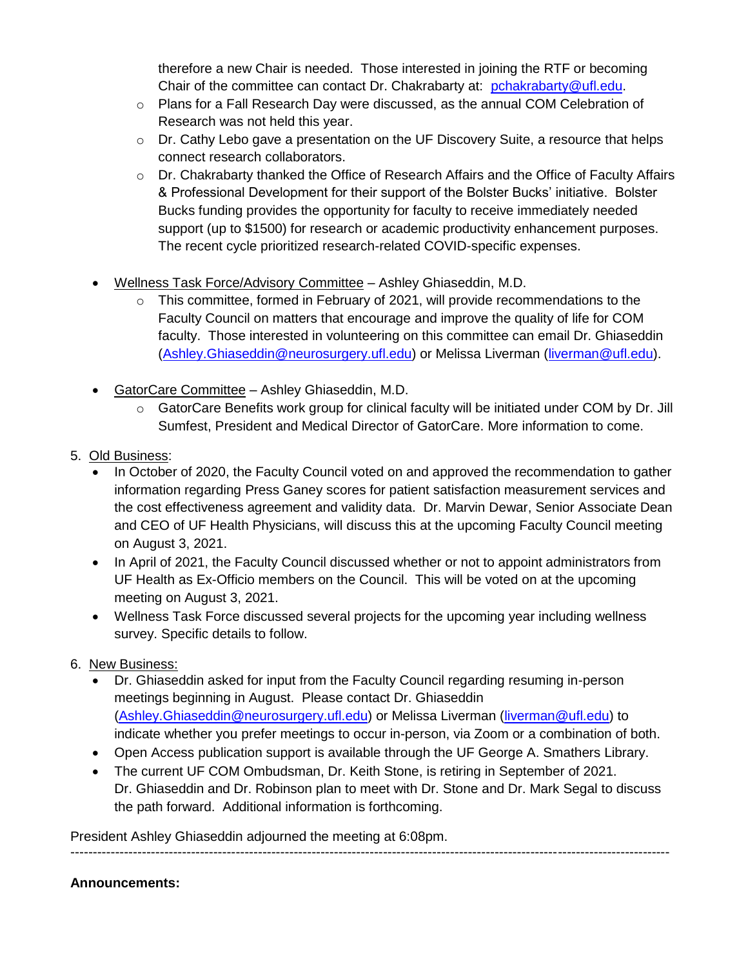therefore a new Chair is needed. Those interested in joining the RTF or becoming Chair of the committee can contact Dr. Chakrabarty at: [pchakrabarty@ufl.edu.](mailto:pchakrabarty@ufl.edu)

- o Plans for a Fall Research Day were discussed, as the annual COM Celebration of Research was not held this year.
- $\circ$  Dr. Cathy Lebo gave a presentation on the UF Discovery Suite, a resource that helps connect research collaborators.
- $\circ$  Dr. Chakrabarty thanked the Office of Research Affairs and the Office of Faculty Affairs & Professional Development for their support of the Bolster Bucks' initiative. Bolster Bucks funding provides the opportunity for faculty to receive immediately needed support (up to \$1500) for research or academic productivity enhancement purposes. The recent cycle prioritized research-related COVID-specific expenses.
- Wellness Task Force/Advisory Committee Ashley Ghiaseddin, M.D.
	- $\circ$  This committee, formed in February of 2021, will provide recommendations to the Faculty Council on matters that encourage and improve the quality of life for COM faculty. Those interested in volunteering on this committee can email Dr. Ghiaseddin [\(Ashley.Ghiaseddin@neurosurgery.ufl.edu\)](mailto:Ashley.Ghiaseddin@neurosurgery.ufl.edu) or Melissa Liverman [\(liverman@ufl.edu\)](mailto:liverman@ufl.edu).
- GatorCare Committee Ashley Ghiaseddin, M.D.
	- $\circ$  GatorCare Benefits work group for clinical faculty will be initiated under COM by Dr. Jill Sumfest, President and Medical Director of GatorCare. More information to come.
- 5. Old Business:
	- In October of 2020, the Faculty Council voted on and approved the recommendation to gather information regarding Press Ganey scores for patient satisfaction measurement services and the cost effectiveness agreement and validity data. Dr. Marvin Dewar, Senior Associate Dean and CEO of UF Health Physicians, will discuss this at the upcoming Faculty Council meeting on August 3, 2021.
	- In April of 2021, the Faculty Council discussed whether or not to appoint administrators from UF Health as Ex-Officio members on the Council. This will be voted on at the upcoming meeting on August 3, 2021.
	- Wellness Task Force discussed several projects for the upcoming year including wellness survey. Specific details to follow.
- 6. New Business:
	- Dr. Ghiaseddin asked for input from the Faculty Council regarding resuming in-person meetings beginning in August. Please contact Dr. Ghiaseddin [\(Ashley.Ghiaseddin@neurosurgery.ufl.edu\)](mailto:Ashley.Ghiaseddin@neurosurgery.ufl.edu) or Melissa Liverman [\(liverman@ufl.edu\)](mailto:liverman@ufl.edu) to indicate whether you prefer meetings to occur in-person, via Zoom or a combination of both.
	- Open Access publication support is available through the UF George A. Smathers Library.
	- The current UF COM Ombudsman, Dr. Keith Stone, is retiring in September of 2021. Dr. Ghiaseddin and Dr. Robinson plan to meet with Dr. Stone and Dr. Mark Segal to discuss the path forward. Additional information is forthcoming.

President Ashley Ghiaseddin adjourned the meeting at 6:08pm. --------------------------------------------------------------------------------------------------------------------------------------

# **Announcements:**